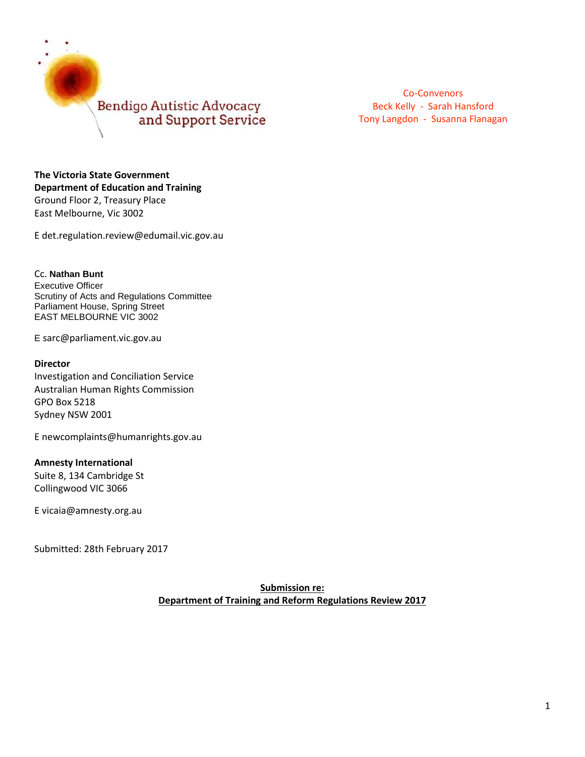

**The Victoria State Government Department of Education and Training** Ground Floor 2, Treasury Place East Melbourne, Vic 3002

E det.regulation.review@edumail.vic.gov.au

Cc. **Nathan Bunt** Executive Officer Scrutiny of Acts and Regulations Committee Parliament House, Spring Street EAST MELBOURNE VIC 3002

E [sarc@parliament.vic.gov.au](mailto:simon.dinsbergs@parliament.vic.gov.au)

#### **Director**

Investigation and Conciliation Service Australian Human Rights Commission GPO Box 5218 Sydney NSW 2001

E [newcomplaints@humanrights.gov.au](mailto:newcomplaints@humanrights.gov.au)

#### **Amnesty International**

Suite 8, 134 Cambridge St Collingwood VIC 3066

E [vicaia@amnesty.org.au](mailto:vicaia@amnesty.org.au)

Submitted: 28th February 2017

**Submission re: Department of Training and Reform Regulations Review 2017**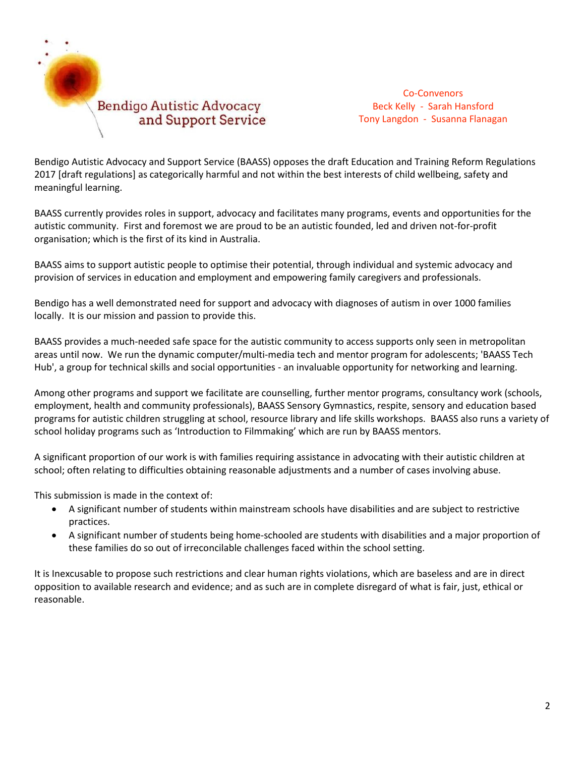

Bendigo Autistic Advocacy and Support Service (BAASS) opposes the draft Education and Training Reform Regulations 2017 [draft regulations] as categorically harmful and not within the best interests of child wellbeing, safety and meaningful learning.

BAASS currently provides roles in support, advocacy and facilitates many programs, events and opportunities for the autistic community. First and foremost we are proud to be an autistic founded, led and driven not-for-profit organisation; which is the first of its kind in Australia.

BAASS aims to support autistic people to optimise their potential, through individual and systemic advocacy and provision of services in education and employment and empowering family caregivers and professionals.

Bendigo has a well demonstrated need for support and advocacy with diagnoses of autism in over 1000 families locally. It is our mission and passion to provide this.

BAASS provides a much-needed safe space for the autistic community to access supports only seen in metropolitan areas until now. We run the dynamic computer/multi-media tech and mentor program for adolescents; 'BAASS Tech Hub', a group for technical skills and social opportunities - an invaluable opportunity for networking and learning.

Among other programs and support we facilitate are counselling, further mentor programs, consultancy work (schools, employment, health and community professionals), BAASS Sensory Gymnastics, respite, sensory and education based programs for autistic children struggling at school, resource library and life skills workshops. BAASS also runs a variety of school holiday programs such as 'Introduction to Filmmaking' which are run by BAASS mentors.

A significant proportion of our work is with families requiring assistance in advocating with their autistic children at school; often relating to difficulties obtaining reasonable adjustments and a number of cases involving abuse.

This submission is made in the context of:

- A significant number of students within mainstream schools have disabilities and are subject to restrictive practices.
- A significant number of students being home-schooled are students with disabilities and a major proportion of these families do so out of irreconcilable challenges faced within the school setting.

It is Inexcusable to propose such restrictions and clear human rights violations, which are baseless and are in direct opposition to available research and evidence; and as such are in complete disregard of what is fair, just, ethical or reasonable.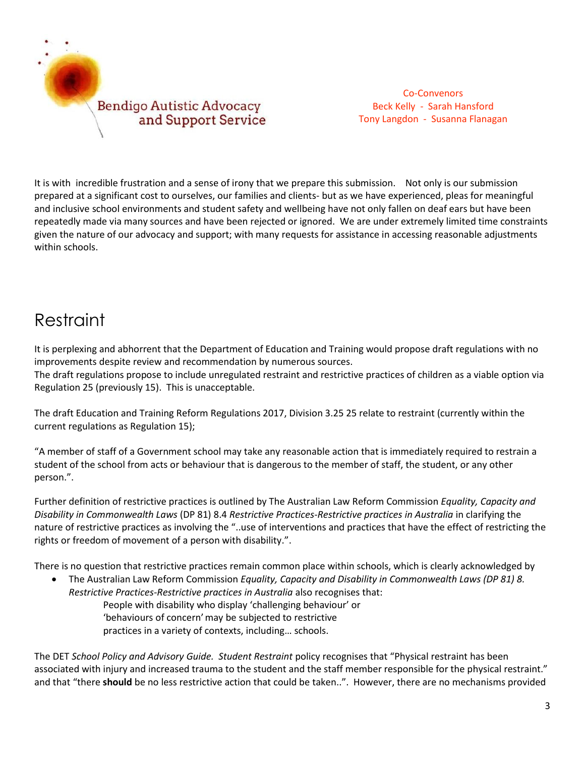

It is with incredible frustration and a sense of irony that we prepare this submission. Not only is our submission prepared at a significant cost to ourselves, our families and clients- but as we have experienced, pleas for meaningful and inclusive school environments and student safety and wellbeing have not only fallen on deaf ears but have been repeatedly made via many sources and have been rejected or ignored. We are under extremely limited time constraints given the nature of our advocacy and support; with many requests for assistance in accessing reasonable adjustments within schools.

# Restraint

It is perplexing and abhorrent that the Department of Education and Training would propose draft regulations with no improvements despite review and recommendation by numerous sources. The draft regulations propose to include unregulated restraint and restrictive practices of children as a viable option via Regulation 25 (previously 15). This is unacceptable.

The draft Education and Training Reform Regulations 2017, Division 3.25 25 relate to restraint (currently within the current regulations as Regulation 15);

"A member of staff of a Government school may take any reasonable action that is immediately required to restrain a student of the school from acts or behaviour that is dangerous to the member of staff, the student, or any other person.".

Further definition of restrictive practices is outlined by The Australian Law Reform Commission *Equality, Capacity and Disability in Commonwealth Laws* (DP 81) 8.4 *Restrictive Practices-Restrictive practices in Australia* in clarifying the nature of restrictive practices as involving the "..use of interventions and practices that have the effect of restricting the rights or freedom of movement of a person with disability.".

There is no question that restrictive practices remain common place within schools, which is clearly acknowledged by

 The Australian Law Reform Commission *[Equality, Capacity and Disability in Commonwealth Laws \(DP 81\)](https://www.alrc.gov.au/publications/disability-dp81) 8. Restrictive Practices-Restrictive practices in Australia* also recognises that: People with disability who display 'challenging behaviour' or 'behaviours of concern'may be subjected to restrictive practices in a variety of contexts, including… schools.

The DET *School Policy and Advisory Guide. Student Restraint* policy recognises that "Physical restraint has been associated with injury and increased trauma to the student and the staff member responsible for the physical restraint." and that "there **should** be no less restrictive action that could be taken..". However, there are no mechanisms provided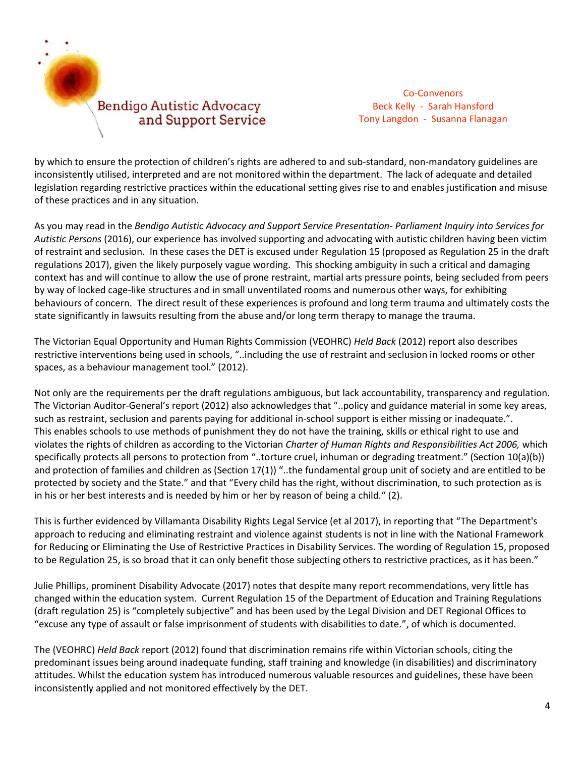

by which to ensure the protection of children's rights are adhered to and sub-standard, non-mandatory guidelines are inconsistently utilised, interpreted and are not monitored within the department. The lack of adequate and detailed legislation regarding restrictive practices within the educational setting gives rise to and enables justification and misuse of these practices and in any situation.

As you may read in the *Bendigo Autistic Advocacy and Support Service Presentation- Parliament Inquiry into Services for Autistic Persons* (2016), our experience has involved supporting and advocating with autistic children having been victim of restraint and seclusion. In these cases the DET is excused under Regulation 15 (proposed as Regulation 25 in the draft regulations 2017), given the likely purposely vague wording. This shocking ambiguity in such a critical and damaging context has and will continue to allow the use of prone restraint, martial arts pressure points, being secluded from peers by way of locked cage-like structures and in small unventilated rooms and numerous other ways, for exhibiting behaviours of concern. The direct result of these experiences is profound and long term trauma and ultimately costs the state significantly in lawsuits resulting from the abuse and/or long term therapy to manage the trauma.

The Victorian Equal Opportunity and Human Rights Commission (VEOHRC) *Held Back* (2012) report also describes restrictive interventions being used in schools, "..including the use of restraint and seclusion in locked rooms or other spaces, as a behaviour management tool." (2012).

Not only are the requirements per the draft regulations ambiguous, but lack accountability, transparency and regulation. The Victorian Auditor-General's report (2012) also acknowledges that "..policy and guidance material in some key areas, such as restraint, seclusion and parents paying for additional in-school support is either missing or inadequate.". This enables schools to use methods of punishment they do not have the training, skills or ethical right to use and violates the rights of children as according to the Victorian *Charter of Human Rights and Responsibilities Act 2006,* which specifically protects all persons to protection from "..torture cruel, inhuman or degrading treatment." (Section 10(a)(b)) and protection of families and children as (Section  $17(1)$ ) "..the fundamental group unit of society and are entitled to be protected by society and the State." and that "Every child has the right, without discrimination, to such protection as is in his or her best interests and is needed by him or her by reason of being a child." (2).

This is further evidenced by Villamanta Disability Rights Legal Service (et al 2017), in reporting that "The Department's approach to reducing and eliminating restraint and violence against students is not in line with the National Framework for Reducing or Eliminating the Use of Restrictive Practices in Disability Services. The wording of Regulation 15, proposed to be Regulation 25, is so broad that it can only benefit those subjecting others to restrictive practices, as it has been."

Julie Phillips, prominent Disability Advocate (2017) notes that despite many report recommendations, very little has changed within the education system. Current Regulation 15 of the Department of Education and Training Regulations (draft regulation 25) is "completely subjective" and has been used by the Legal Division and DET Regional Offices to "excuse any type of assault or false imprisonment of students with disabilities to date.", of which is documented.

The (VEOHRC) *Held Back* report (2012) found that discrimination remains rife within Victorian schools, citing the predominant issues being around inadequate funding, staff training and knowledge (in disabilities) and discriminatory attitudes. Whilst the education system has introduced numerous valuable resources and guidelines, these have been inconsistently applied and not monitored effectively by the DET.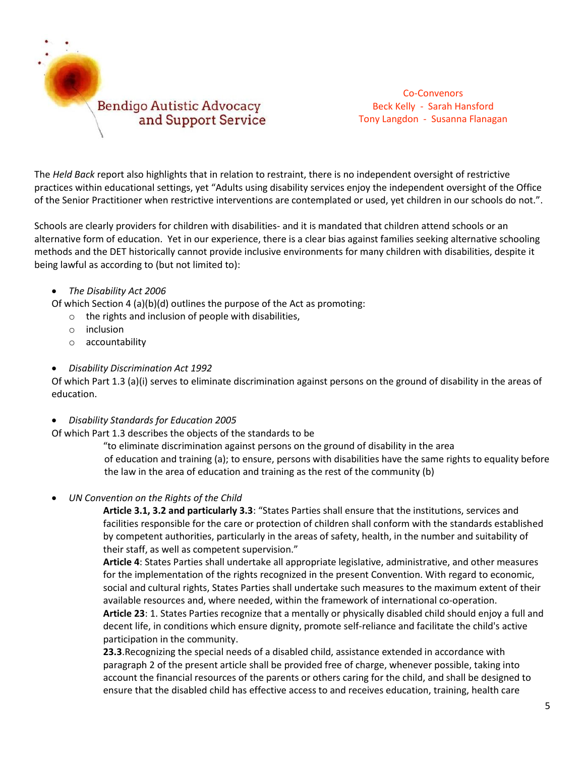

The *Held Back* report also highlights that in relation to restraint, there is no independent oversight of restrictive practices within educational settings, yet "Adults using disability services enjoy the independent oversight of the Office of the Senior Practitioner when restrictive interventions are contemplated or used, yet children in our schools do not.".

Schools are clearly providers for children with disabilities- and it is mandated that children attend schools or an alternative form of education. Yet in our experience, there is a clear bias against families seeking alternative schooling methods and the DET historically cannot provide inclusive environments for many children with disabilities, despite it being lawful as according to (but not limited to):

### *The Disability Act 2006*

Of which Section 4 (a)(b)(d) outlines the purpose of the Act as promoting:

- $\circ$  the rights and inclusion of people with disabilities,
- o inclusion
- o accountability
- *[Disability Discrimination Act 1992](https://www.legislation.gov.au/details/c2013c00022)*

Of which Part 1.3 (a)(i) serves to eliminate discrimination against persons on the ground of disability in the areas of education.

*[Disability Standards for Education 2005](https://www.education.gov.au/disability-standards-education-2005)* 

Of which Part 1.3 describes the objects of the standards to be

"to eliminate discrimination against persons on the ground of disability in the area of education and training (a); to ensure, persons with disabilities have the same rights to equality before the law in the area of education and training as the rest of the community (b)

*UN Convention on the Rights of the Child* 

**Article 3.1, 3.2 and particularly 3.3**: "States Parties shall ensure that the institutions, services and facilities responsible for the care or protection of children shall conform with the standards established by competent authorities, particularly in the areas of safety, health, in the number and suitability of their staff, as well as competent supervision."

**Article 4**: States Parties shall undertake all appropriate legislative, administrative, and other measures for the implementation of the rights recognized in the present Convention. With regard to economic, social and cultural rights, States Parties shall undertake such measures to the maximum extent of their available resources and, where needed, within the framework of international co-operation. **Article 23**: 1. States Parties recognize that a mentally or physically disabled child should enjoy a full and decent life, in conditions which ensure dignity, promote self-reliance and facilitate the child's active participation in the community.

**23.3**.Recognizing the special needs of a disabled child, assistance extended in accordance with paragraph 2 of the present article shall be provided free of charge, whenever possible, taking into account the financial resources of the parents or others caring for the child, and shall be designed to ensure that the disabled child has effective access to and receives education, training, health care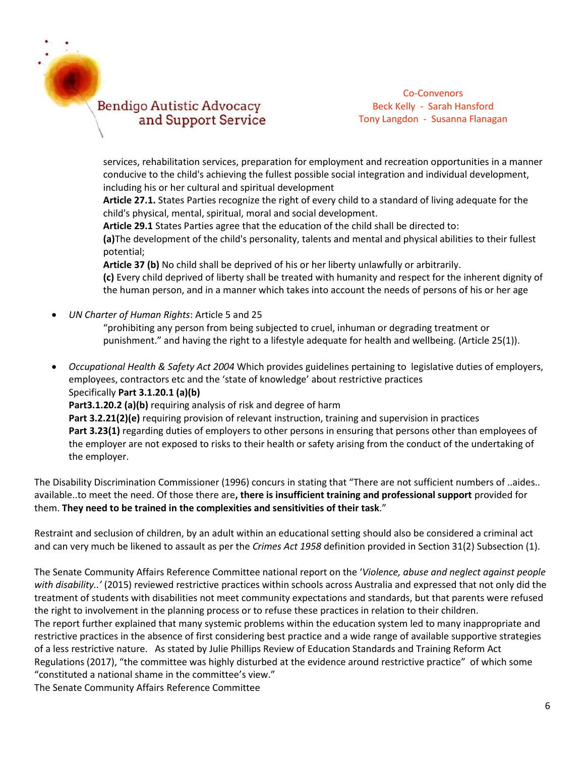### **Bendigo Autistic Advocacy** and Support Service

Co-Convenors Beck Kelly - Sarah Hansford Tony Langdon - Susanna Flanagan

services, rehabilitation services, preparation for employment and recreation opportunities in a manner conducive to the child's achieving the fullest possible social integration and individual development, including his or her cultural and spiritual development

**Article 27.1.** States Parties recognize the right of every child to a standard of living adequate for the child's physical, mental, spiritual, moral and social development.

**Article 29.1** States Parties agree that the education of the child shall be directed to:

**(a)**The development of the child's personality, talents and mental and physical abilities to their fullest potential;

**Article 37 (b)** No child shall be deprived of his or her liberty unlawfully or arbitrarily. **(c)** Every child deprived of liberty shall be treated with humanity and respect for the inherent dignity of the human person, and in a manner which takes into account the needs of persons of his or her age

*UN Charter of Human Rights*: Article 5 and 25

"prohibiting any person from being subjected to cruel, inhuman or degrading treatment or punishment." and having the right to a lifestyle adequate for health and wellbeing. (Article 25(1)).

 *Occupational Health & Safety Act 2004* Which provides guidelines pertaining to legislative duties of employers, employees, contractors etc and the 'state of knowledge' about restrictive practices Specifically **Part 3.1.20.1 (a)(b)** Part3.1.20.2 (a)(b) requiring analysis of risk and degree of harm **Part 3.2.21(2)(e)** requiring provision of relevant instruction, training and supervision in practices **Part 3.23(1)** regarding duties of employers to other persons in ensuring that persons other than employees of the employer are not exposed to risks to their health or safety arising from the conduct of the undertaking of the employer.

The Disability Discrimination Commissioner (1996) concurs in stating that "There are not sufficient numbers of ..aides.. available..to meet the need. Of those there are**, there is insufficient training and professional support** provided for them. **They need to be trained in the complexities and sensitivities of their task**."

Restraint and seclusion of children, by an adult within an educational setting should also be considered a criminal act and can very much be likened to assault as per the *Crimes Act 1958* definition provided in Section 31(2) Subsection (1).

The Senate Community Affairs Reference Committee national report on the '*Violence, abuse and neglect against people with disability..'* (2015) reviewed restrictive practices within schools across Australia and expressed that not only did the treatment of students with disabilities not meet community expectations and standards, but that parents were refused the right to involvement in the planning process or to refuse these practices in relation to their children. The report further explained that many systemic problems within the education system led to many inappropriate and restrictive practices in the absence of first considering best practice and a wide range of available supportive strategies of a less restrictive nature. As stated by Julie Phillips Review of Education Standards and Training Reform Act Regulations (2017), "the committee was highly disturbed at the evidence around restrictive practice" of which some "constituted a national shame in the committee's view." The Senate Community Affairs Reference Committee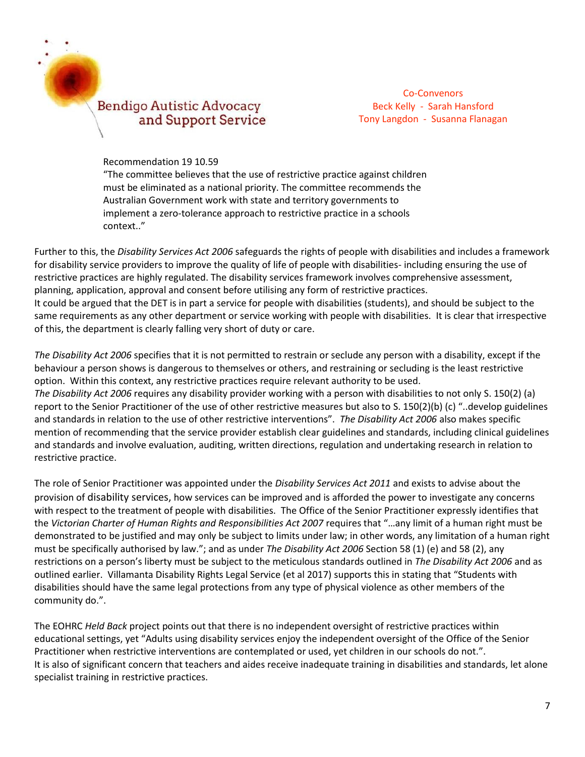### **Bendigo Autistic Advocacy** and Support Service

Co-Convenors Beck Kelly - Sarah Hansford Tony Langdon - Susanna Flanagan

Recommendation 19 10.59

"The committee believes that the use of restrictive practice against children must be eliminated as a national priority. The committee recommends the Australian Government work with state and territory governments to implement a zero-tolerance approach to restrictive practice in a schools context.."

Further to this, the *[Disability Services Act 2006](http://www.communities.qld.gov.au/disability/key-projects/disability-services-act-2006)* safeguards the rights of people with disabilities and includes a framework for disability service providers to improve the quality of life of people with disabilities- including ensuring the use of restrictive practices are highly regulated. The disability services framework involves comprehensive assessment, planning, application, approval and consent before utilising any form of restrictive practices. It could be argued that the DET is in part a service for people with disabilities (students), and should be subject to the same requirements as any other department or service working with people with disabilities. It is clear that irrespective of this, the department is clearly falling very short of duty or care.

*The Disability Act 2006* specifies that it is not permitted to restrain or seclude any person with a disability, except if the behaviour a person shows is dangerous to themselves or others, and restraining or secluding is the least restrictive option. Within this context, any restrictive practices require relevant authority to be used. *The Disability Act 2006* requires any disability provider working with a person with disabilities to not only S. [150\(2\)](http://www.austlii.edu.au/au/legis/vic/consol_act/da2006121/s150.html) (a) report to the Senior Practitioner of the use of other restrictive measures but also to S. [150\(2\)\(b\)](http://www.austlii.edu.au/au/legis/vic/consol_act/da2006121/s150.html) (c) "..develop guidelines and standards in relation to the use of other [restrictive interventions](http://www.austlii.edu.au/au/legis/vic/consol_act/da2006121/s3.html#restrictive_intervention)". *The Disability Act 2006* also makes specific mention of recommending that the service provider establish clear guidelines and standards, including clinical guidelines and standards and involve evaluation, auditing, written directions, regulation and undertaking research in relation to restrictive practice.

The role of Senior Practitioner was appointed under the *Disability Services Act 2011* and exists to advise about the provision of disability services, how services can be improved and is afforded the power to investigate any concerns with respect to the treatment of people with disabilities. The Office of the Senior Practitioner expressly identifies that the *Victorian Charter of Human Rights and Responsibilities Act 2007* requires that "…any limit of a human right must be demonstrated to be justified and may only be subject to limits under law; in other words, any limitation of a human right must be specifically authorised by law."; and as under *The Disability Act 2006* Section 58 (1) (e) and 58 (2), any restrictions on a person's liberty must be subject to the meticulous standards outlined in *The Disability Act 2006* and as outlined earlier. Villamanta Disability Rights Legal Service (et al 2017) supports this in stating that "Students with disabilities should have the same legal protections from any type of physical violence as other members of the community do.".

The EOHRC *Held Back* project points out that there is no independent oversight of restrictive practices within educational settings, yet "Adults using disability services enjoy the independent oversight of the Office of the Senior Practitioner when restrictive interventions are contemplated or used, yet children in our schools do not.". It is also of significant concern that teachers and aides receive inadequate training in disabilities and standards, let alone specialist training in restrictive practices.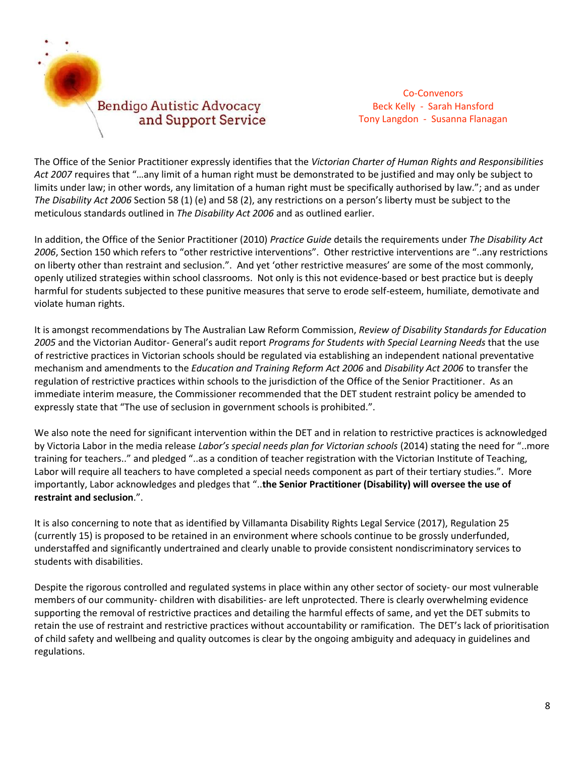

The Office of the Senior Practitioner expressly identifies that the *Victorian Charter of Human Rights and Responsibilities Act 2007* requires that "…any limit of a human right must be demonstrated to be justified and may only be subject to limits under law; in other words, any limitation of a human right must be specifically authorised by law."; and as under *The Disability Act 2006* Section 58 (1) (e) and 58 (2), any restrictions on a person's liberty must be subject to the meticulous standards outlined in *The Disability Act 2006* and as outlined earlier.

In addition, the Office of the Senior Practitioner (2010) *Practice Guide* details the requirements under *The Disability Act 2006*, Section 150 which refers to "other restrictive interventions". Other restrictive interventions are "..any restrictions on liberty other than restraint and seclusion.". And yet 'other restrictive measures' are some of the most commonly, openly utilized strategies within school classrooms. Not only is this not evidence-based or best practice but is deeply harmful for students subjected to these punitive measures that serve to erode self-esteem, humiliate, demotivate and violate human rights.

It is amongst recommendations by The Australian Law Reform Commission, *Review of Disability Standards for Education 2005* and the Victorian Auditor- General's audit report *Programs for Students with Special Learning Needs* that the use of restrictive practices in Victorian schools should be regulated via establishing an independent national preventative mechanism and amendments to the *Education and Training Reform Act 2006* and *Disability Act 2006* to transfer the regulation of restrictive practices within schools to the jurisdiction of the Office of the Senior Practitioner. As an immediate interim measure, the Commissioner recommended that the DET student restraint policy be amended to expressly state that "The use of seclusion in government schools is prohibited.".

We also note the need for significant intervention within the DET and in relation to restrictive practices is acknowledged by Victoria Labor in the media release *Labor's special needs plan for Victorian schools* (2014) stating the need for "..more training for teachers.." and pledged "..as a condition of teacher registration with the Victorian Institute of Teaching, Labor will require all teachers to have completed a special needs component as part of their tertiary studies.". More importantly, Labor acknowledges and pledges that "..**the Senior Practitioner (Disability) will oversee the use of restraint and seclusion**.".

It is also concerning to note that as identified by Villamanta Disability Rights Legal Service (2017), Regulation 25 (currently 15) is proposed to be retained in an environment where schools continue to be grossly underfunded, understaffed and significantly undertrained and clearly unable to provide consistent nondiscriminatory services to students with disabilities.

Despite the rigorous controlled and regulated systems in place within any other sector of society- our most vulnerable members of our community- children with disabilities- are left unprotected. There is clearly overwhelming evidence supporting the removal of restrictive practices and detailing the harmful effects of same, and yet the DET submits to retain the use of restraint and restrictive practices without accountability or ramification. The DET's lack of prioritisation of child safety and wellbeing and quality outcomes is clear by the ongoing ambiguity and adequacy in guidelines and regulations.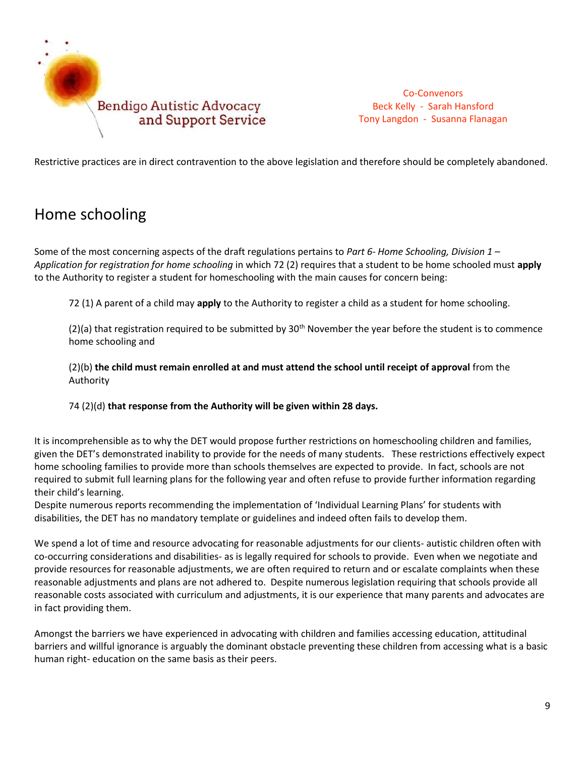

Restrictive practices are in direct contravention to the above legislation and therefore should be completely abandoned.

## Home schooling

Some of the most concerning aspects of the draft regulations pertains to *Part 6- Home Schooling, Division 1 – Application for registration for home schooling* in which 72 (2) requires that a student to be home schooled must **apply** to the Authority to register a student for homeschooling with the main causes for concern being:

72 (1) A parent of a child may **apply** to the Authority to register a child as a student for home schooling.

(2)(a) that registration required to be submitted by  $30<sup>th</sup>$  November the year before the student is to commence home schooling and

(2)(b) **the child must remain enrolled at and must attend the school until receipt of approval** from the Authority

74 (2)(d) **that response from the Authority will be given within 28 days.**

It is incomprehensible as to why the DET would propose further restrictions on homeschooling children and families, given the DET's demonstrated inability to provide for the needs of many students. These restrictions effectively expect home schooling families to provide more than schools themselves are expected to provide. In fact, schools are not required to submit full learning plans for the following year and often refuse to provide further information regarding their child's learning.

Despite numerous reports recommending the implementation of 'Individual Learning Plans' for students with disabilities, the DET has no mandatory template or guidelines and indeed often fails to develop them.

We spend a lot of time and resource advocating for reasonable adjustments for our clients- autistic children often with co-occurring considerations and disabilities- as is legally required for schools to provide. Even when we negotiate and provide resources for reasonable adjustments, we are often required to return and or escalate complaints when these reasonable adjustments and plans are not adhered to. Despite numerous legislation requiring that schools provide all reasonable costs associated with curriculum and adjustments, it is our experience that many parents and advocates are in fact providing them.

Amongst the barriers we have experienced in advocating with children and families accessing education, attitudinal barriers and willful ignorance is arguably the dominant obstacle preventing these children from accessing what is a basic human right- education on the same basis as their peers.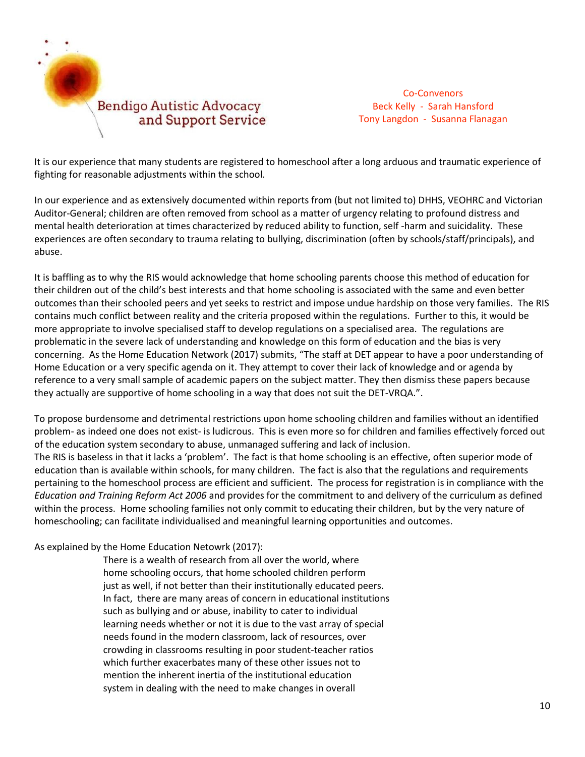

It is our experience that many students are registered to homeschool after a long arduous and traumatic experience of fighting for reasonable adjustments within the school.

In our experience and as extensively documented within reports from (but not limited to) DHHS, VEOHRC and Victorian Auditor-General; children are often removed from school as a matter of urgency relating to profound distress and mental health deterioration at times characterized by reduced ability to function, self -harm and suicidality. These experiences are often secondary to trauma relating to bullying, discrimination (often by schools/staff/principals), and abuse.

It is baffling as to why the RIS would acknowledge that home schooling parents choose this method of education for their children out of the child's best interests and that home schooling is associated with the same and even better outcomes than their schooled peers and yet seeks to restrict and impose undue hardship on those very families. The RIS contains much conflict between reality and the criteria proposed within the regulations. Further to this, it would be more appropriate to involve specialised staff to develop regulations on a specialised area. The regulations are problematic in the severe lack of understanding and knowledge on this form of education and the bias is very concerning. As the Home Education Network (2017) submits, "The staff at DET appear to have a poor understanding of Home Education or a very specific agenda on it. They attempt to cover their lack of knowledge and or agenda by reference to a very small sample of academic papers on the subject matter. They then dismiss these papers because they actually are supportive of home schooling in a way that does not suit the DET-VRQA.".

To propose burdensome and detrimental restrictions upon home schooling children and families without an identified problem- as indeed one does not exist- is ludicrous. This is even more so for children and families effectively forced out of the education system secondary to abuse, unmanaged suffering and lack of inclusion.

The RIS is baseless in that it lacks a 'problem'. The fact is that home schooling is an effective, often superior mode of education than is available within schools, for many children. The fact is also that the regulations and requirements pertaining to the homeschool process are efficient and sufficient. The process for registration is in compliance with the *Education and Training Reform Act 2006* and provides for the commitment to and delivery of the curriculum as defined within the process. Home schooling families not only commit to educating their children, but by the very nature of homeschooling; can facilitate individualised and meaningful learning opportunities and outcomes.

### As explained by the Home Education Netowrk (2017):

There is a wealth of research from all over the world, where home schooling occurs, that home schooled children perform just as well, if not better than their institutionally educated peers. In fact, there are many areas of concern in educational institutions such as bullying and or abuse, inability to cater to individual learning needs whether or not it is due to the vast array of special needs found in the modern classroom, lack of resources, over crowding in classrooms resulting in poor student-teacher ratios which further exacerbates many of these other issues not to mention the inherent inertia of the institutional education system in dealing with the need to make changes in overall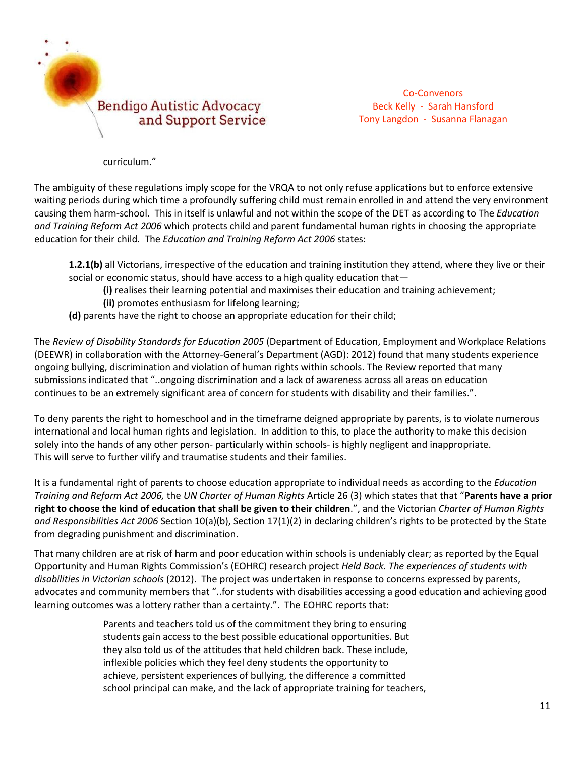

curriculum."

The ambiguity of these regulations imply scope for the VRQA to not only refuse applications but to enforce extensive waiting periods during which time a profoundly suffering child must remain enrolled in and attend the very environment causing them harm-school. This in itself is unlawful and not within the scope of the DET as according to The *Education and Training Reform Act 2006* which protects child and parent fundamental human rights in choosing the appropriate education for their child. The *Education and Training Reform Act 2006* states:

**1.2.1(b)** all Victorians, irrespective of the education and training institution they attend, where they live or their social or economic status, should have access to a high quality education that—

**(i)** realises their learning potential and maximises their education and training achievement;

**(ii)** promotes enthusiasm for lifelong learning;

**(d)** parents have the right to choose an appropriate education for their child;

The *Review of Disability Standards for Education 2005* (Department of Education, Employment and Workplace Relations (DEEWR) in collaboration with the Attorney-General's Department (AGD): 2012) found that many students experience ongoing bullying, discrimination and violation of human rights within schools. The Review reported that many submissions indicated that "..ongoing discrimination and a lack of awareness across all areas on education continues to be an extremely significant area of concern for students with disability and their families.".

To deny parents the right to homeschool and in the timeframe deigned appropriate by parents, is to violate numerous international and local human rights and legislation. In addition to this, to place the authority to make this decision solely into the hands of any other person- particularly within schools- is highly negligent and inappropriate. This will serve to further vilify and traumatise students and their families.

It is a fundamental right of parents to choose education appropriate to individual needs as according to the *Education Training and Reform Act 2006,* the *UN Charter of Human Rights* Article 26 (3) which states that that "**Parents have a prior right to choose the kind of education that shall be given to their children**.", and the Victorian *Charter of Human Rights and Responsibilities Act 2006* Section 10(a)(b), Section 17(1)(2) in declaring children's rights to be protected by the State from degrading punishment and discrimination.

That many children are at risk of harm and poor education within schools is undeniably clear; as reported by the Equal Opportunity and Human Rights Commission's (EOHRC) research project *Held Back. The experiences of students with disabilities in Victorian schools* (2012). The project was undertaken in response to concerns expressed by parents, advocates and community members that "..for students with disabilities accessing a good education and achieving good learning outcomes was a lottery rather than a certainty.". The EOHRC reports that:

> Parents and teachers told us of the commitment they bring to ensuring students gain access to the best possible educational opportunities. But they also told us of the attitudes that held children back. These include, inflexible policies which they feel deny students the opportunity to achieve, persistent experiences of bullying, the difference a committed school principal can make, and the lack of appropriate training for teachers,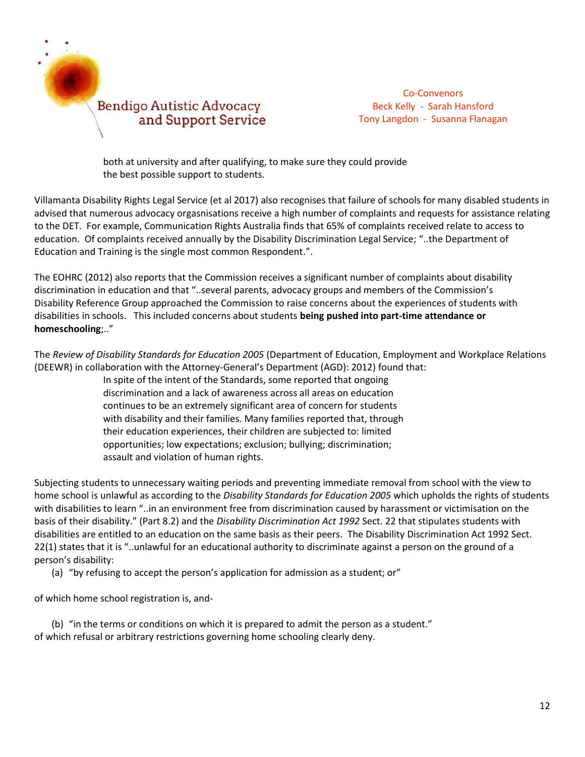

both at university and after qualifying, to make sure they could provide the best possible support to students.

Villamanta Disability Rights Legal Service (et al 2017) also recognises that failure of schools for many disabled students in advised that numerous advocacy orgasnisations receive a high number of complaints and requests for assistance relating to the DET. For example, Communication Rights Australia finds that 65% of complaints received relate to access to education. Of complaints received annually by the Disability Discrimination Legal Service; "..the Department of Education and Training is the single most common Respondent.".

The EOHRC (2012) also reports that the Commission receives a significant number of complaints about disability discrimination in education and that "..several parents, advocacy groups and members of the Commission's Disability Reference Group approached the Commission to raise concerns about the experiences of students with disabilities in schools. This included concerns about students **being pushed into part-time attendance or homeschooling**;.."

The *Review of Disability Standards for Education 2005* (Department of Education, Employment and Workplace Relations (DEEWR) in collaboration with the Attorney-General's Department (AGD): 2012) found that:

> In spite of the intent of the Standards, some reported that ongoing discrimination and a lack of awareness across all areas on education continues to be an extremely significant area of concern for students with disability and their families. Many families reported that, through their education experiences, their children are subjected to: limited opportunities; low expectations; exclusion; bullying; discrimination; assault and violation of human rights.

Subjecting students to unnecessary waiting periods and preventing immediate removal from school with the view to home school is unlawful as according to the *Disability Standards for Education 2005* which upholds the rights of students with disabilities to learn "..in an environment free from discrimination caused by harassment or victimisation on the basis of their disability." (Part 8.2) and the *Disability Discrimination Act 1992* Sect. 22 that stipulates students with disabilities are entitled to an education on the same basis as their peers. The Disability Discrimination Act 1992 Sect. 22(1) states that it is "..unlawful for an educational authority to discriminate against a person on the ground of a person's disability:

(a) "by refusing to accept the person's application for admission as a student; or"

of which home school registration is, and-

(b) "in the terms or conditions on which it is prepared to admit the person as a student." of which refusal or arbitrary restrictions governing home schooling clearly deny.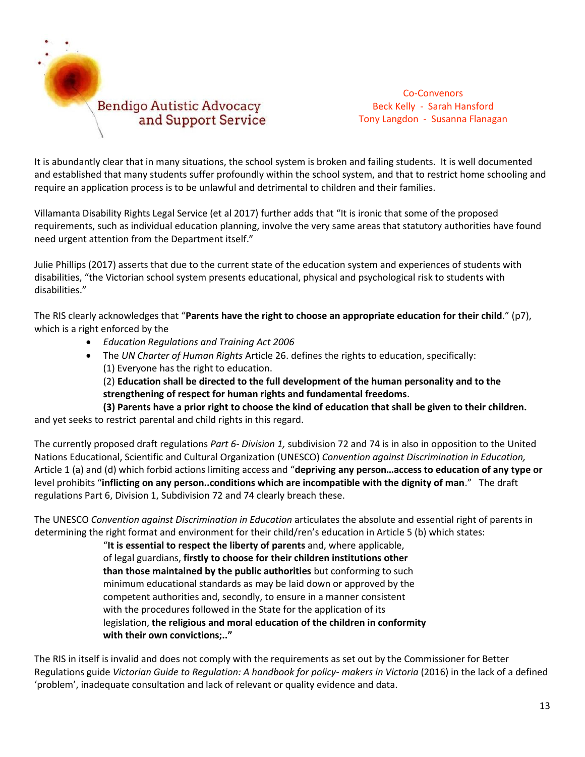

It is abundantly clear that in many situations, the school system is broken and failing students. It is well documented and established that many students suffer profoundly within the school system, and that to restrict home schooling and require an application process is to be unlawful and detrimental to children and their families.

Villamanta Disability Rights Legal Service (et al 2017) further adds that "It is ironic that some of the proposed requirements, such as individual education planning, involve the very same areas that statutory authorities have found need urgent attention from the Department itself."

Julie Phillips (2017) asserts that due to the current state of the education system and experiences of students with disabilities, "the Victorian school system presents educational, physical and psychological risk to students with disabilities."

The RIS clearly acknowledges that "**Parents have the right to choose an appropriate education for their child**." (p7), which is a right enforced by the

- *Education Regulations and Training Act 2006*
- The *UN Charter of Human Rights* Article 26. defines the rights to education, specifically: (1) Everyone has the right to education.

(2) **Education shall be directed to the full development of the human personality and to the strengthening of respect for human rights and fundamental freedoms**.

**(3) Parents have a prior right to choose the kind of education that shall be given to their children.** and yet seeks to restrict parental and child rights in this regard.

The currently proposed draft regulations *Part 6- Division 1,* subdivision 72 and 74 is in also in opposition to the United Nations Educational, Scientific and Cultural Organization (UNESCO) *[Convention against Discrimination in Education,](http://www.unesco.org/education/pdf/DISCRI_E.PDF)*  Article 1 (a) and (d) which forbid actions limiting access and "**depriving any person…access to education of any type or** level prohibits "**inflicting on any person..conditions which are incompatible with the dignity of man**." The draft regulations Part 6, Division 1, Subdivision 72 and 74 clearly breach these.

The UNESCO *Convention against Discrimination in Education* articulates the absolute and essential right of parents in determining the right format and environment for their child/ren's education in Article 5 (b) which states:

> "**It is essential to respect the liberty of parents** and, where applicable, of legal guardians, **firstly to choose for their children institutions other than those maintained by the public authorities** but conforming to such minimum educational standards as may be laid down or approved by the competent authorities and, secondly, to ensure in a manner consistent with the procedures followed in the State for the application of its legislation, **the religious and moral education of the children in conformity with their own convictions;.."**

The RIS in itself is invalid and does not comply with the requirements as set out by the Commissioner for Better Regulations guide *Victorian Guide to Regulation: A handbook for policy- makers in Victoria* (2016) in the lack of a defined 'problem', inadequate consultation and lack of relevant or quality evidence and data.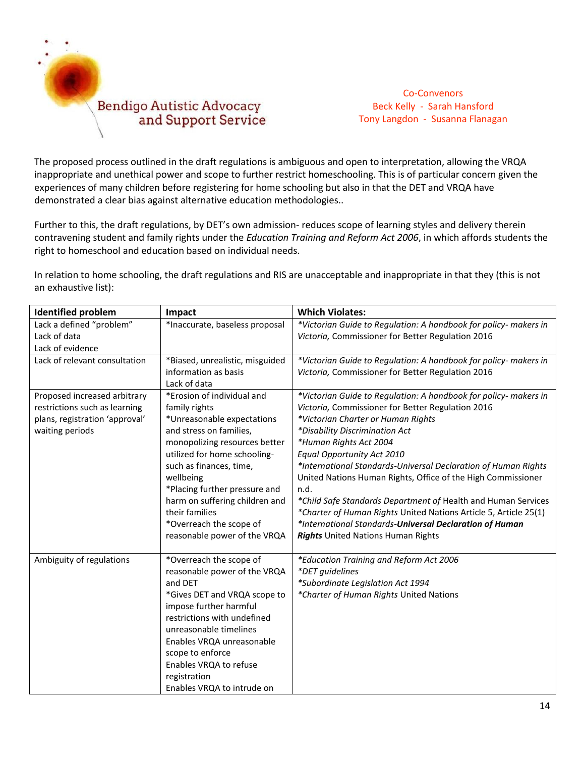

The proposed process outlined in the draft regulations is ambiguous and open to interpretation, allowing the VRQA inappropriate and unethical power and scope to further restrict homeschooling. This is of particular concern given the experiences of many children before registering for home schooling but also in that the DET and VRQA have demonstrated a clear bias against alternative education methodologies..

Further to this, the draft regulations, by DET's own admission- reduces scope of learning styles and delivery therein contravening student and family rights under the *Education Training and Reform Act 2006*, in which affords students the right to homeschool and education based on individual needs.

In relation to home schooling, the draft regulations and RIS are unacceptable and inappropriate in that they (this is not an exhaustive list):

| <b>Identified problem</b>                                                                                          | Impact                                                                                                                                                                                                                                                                                                                                                        | <b>Which Violates:</b>                                                                                                                                                                                                                                                                                                                                                                                                                                                                                                                                                                                                                       |
|--------------------------------------------------------------------------------------------------------------------|---------------------------------------------------------------------------------------------------------------------------------------------------------------------------------------------------------------------------------------------------------------------------------------------------------------------------------------------------------------|----------------------------------------------------------------------------------------------------------------------------------------------------------------------------------------------------------------------------------------------------------------------------------------------------------------------------------------------------------------------------------------------------------------------------------------------------------------------------------------------------------------------------------------------------------------------------------------------------------------------------------------------|
| Lack a defined "problem"<br>Lack of data                                                                           | *Inaccurate, baseless proposal                                                                                                                                                                                                                                                                                                                                | *Victorian Guide to Regulation: A handbook for policy- makers in<br>Victoria, Commissioner for Better Regulation 2016                                                                                                                                                                                                                                                                                                                                                                                                                                                                                                                        |
| Lack of evidence                                                                                                   |                                                                                                                                                                                                                                                                                                                                                               |                                                                                                                                                                                                                                                                                                                                                                                                                                                                                                                                                                                                                                              |
| Lack of relevant consultation                                                                                      | *Biased, unrealistic, misguided<br>information as basis                                                                                                                                                                                                                                                                                                       | *Victorian Guide to Regulation: A handbook for policy- makers in<br>Victoria, Commissioner for Better Regulation 2016                                                                                                                                                                                                                                                                                                                                                                                                                                                                                                                        |
|                                                                                                                    | Lack of data                                                                                                                                                                                                                                                                                                                                                  |                                                                                                                                                                                                                                                                                                                                                                                                                                                                                                                                                                                                                                              |
| Proposed increased arbitrary<br>restrictions such as learning<br>plans, registration 'approval'<br>waiting periods | *Erosion of individual and<br>family rights<br>*Unreasonable expectations<br>and stress on families,<br>monopolizing resources better<br>utilized for home schooling-<br>such as finances, time,<br>wellbeing<br>*Placing further pressure and<br>harm on suffering children and<br>their families<br>*Overreach the scope of<br>reasonable power of the VRQA | *Victorian Guide to Regulation: A handbook for policy- makers in<br>Victoria, Commissioner for Better Regulation 2016<br>*Victorian Charter or Human Rights<br>*Disability Discrimination Act<br>*Human Rights Act 2004<br>Equal Opportunity Act 2010<br>*International Standards-Universal Declaration of Human Rights<br>United Nations Human Rights, Office of the High Commissioner<br>n.d.<br>*Child Safe Standards Department of Health and Human Services<br>*Charter of Human Rights United Nations Article 5, Article 25(1)<br>*International Standards-Universal Declaration of Human<br><b>Rights</b> United Nations Human Rights |
| Ambiguity of regulations                                                                                           | *Overreach the scope of<br>reasonable power of the VRQA<br>and DET<br>*Gives DET and VRQA scope to<br>impose further harmful<br>restrictions with undefined<br>unreasonable timelines<br>Enables VRQA unreasonable<br>scope to enforce<br>Enables VRQA to refuse<br>registration<br>Enables VRQA to intrude on                                                | *Education Training and Reform Act 2006<br>*DET guidelines<br>*Subordinate Legislation Act 1994<br>*Charter of Human Rights United Nations                                                                                                                                                                                                                                                                                                                                                                                                                                                                                                   |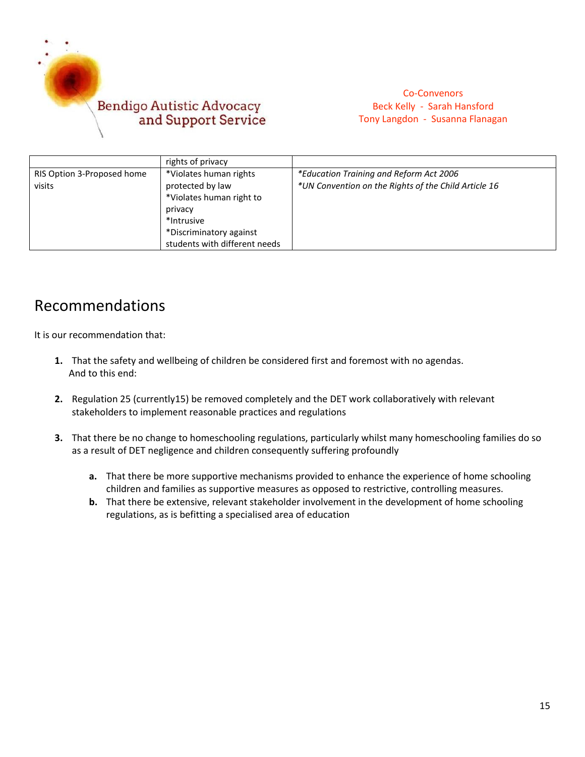

|                            | rights of privacy             |                                                      |
|----------------------------|-------------------------------|------------------------------------------------------|
| RIS Option 3-Proposed home | *Violates human rights        | *Education Training and Reform Act 2006              |
| visits                     | protected by law              | *UN Convention on the Rights of the Child Article 16 |
|                            | *Violates human right to      |                                                      |
|                            | privacy                       |                                                      |
|                            | *Intrusive                    |                                                      |
|                            | *Discriminatory against       |                                                      |
|                            | students with different needs |                                                      |

## Recommendations

It is our recommendation that:

- **1.** That the safety and wellbeing of children be considered first and foremost with no agendas. And to this end:
- **2.** Regulation 25 (currently15) be removed completely and the DET work collaboratively with relevant stakeholders to implement reasonable practices and regulations
- **3.** That there be no change to homeschooling regulations, particularly whilst many homeschooling families do so as a result of DET negligence and children consequently suffering profoundly
	- **a.** That there be more supportive mechanisms provided to enhance the experience of home schooling children and families as supportive measures as opposed to restrictive, controlling measures.
	- **b.** That there be extensive, relevant stakeholder involvement in the development of home schooling regulations, as is befitting a specialised area of education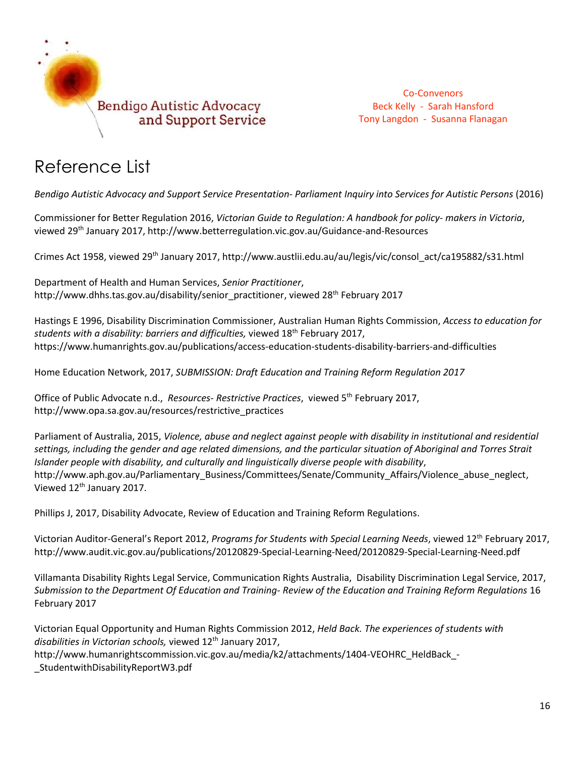

# Reference List

*Bendigo Autistic Advocacy and Support Service Presentation- Parliament Inquiry into Services for Autistic Persons* (2016)

Commissioner for Better Regulation 2016, *Victorian Guide to Regulation: A handbook for policy- makers in Victoria*, viewed 29th January 2017, http://www.betterregulation.vic.gov.au/Guidance-and-Resources

Crimes Act 1958, viewed 29th January 2017, http://www.austlii.edu.au/au/legis/vic/consol\_act/ca195882/s31.html

Department of Health and Human Services, *Senior Practitioner*, [http://www.dhhs.tas.gov.au/disability/senior\\_practitioner,](http://www.dhhs.tas.gov.au/disability/senior_practitioner) viewed 28<sup>th</sup> February 2017

Hastings E 1996, Disability Discrimination Commissioner, Australian Human Rights Commission, *Access to education for students with a disability: barriers and difficulties,* viewed 18th February 2017, https://www.humanrights.gov.au/publications/access-education-students-disability-barriers-and-difficulties

Home Education Network, 2017, *SUBMISSION: Draft Education and Training Reform Regulation 2017*

Office of Public Advocate n.d., *Resources- Restrictive Practices*, viewed 5th February 2017, [http://www.opa.sa.gov.au/resources/restrictive\\_practices](http://www.opa.sa.gov.au/resources/restrictive_practices)

Parliament of Australia, 2015, *Violence, abuse and neglect against people with disability in institutional and residential settings, including the gender and age related dimensions, and the particular situation of Aboriginal and Torres Strait Islander people with disability, and culturally and linguistically diverse people with disability*, [http://www.aph.gov.au/Parliamentary\\_Business/Committees/Senate/Community\\_Affairs/Violence\\_abuse\\_neglect,](http://www.aph.gov.au/Parliamentary_Business/Committees/Senate/Community_Affairs/Violence_abuse_neglect) Viewed 12<sup>th</sup> January 2017.

Phillips J, 2017, Disability Advocate, Review of Education and Training Reform Regulations.

Victorian Auditor-General's Report 2012, *Programs for Students with Special Learning Needs*, viewed 12th February 2017, http://www.audit.vic.gov.au/publications/20120829-Special-Learning-Need/20120829-Special-Learning-Need.pdf

Villamanta Disability Rights Legal Service, Communication Rights Australia, Disability Discrimination Legal Service, 2017, *Submission to the Department Of Education and Training- Review of the Education and Training Reform Regulations* 16 February 2017

Victorian Equal Opportunity and Human Rights Commission 2012, *Held Back. The experiences of students with*  disabilities in Victorian schools, viewed 12<sup>th</sup> January 2017, http://www.humanrightscommission.vic.gov.au/media/k2/attachments/1404-VEOHRC\_HeldBack -[\\_StudentwithDisabilityReportW3.pdf](http://www.humanrightscommission.vic.gov.au/media/k2/attachments/1404-VEOHRC_HeldBack_-_StudentwithDisabilityReportW3.pdf)